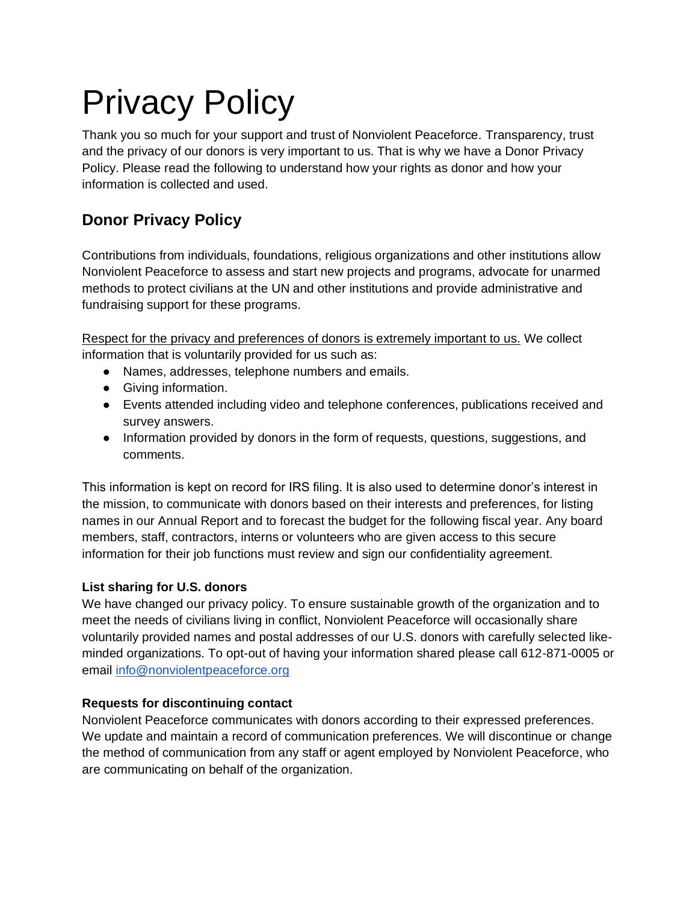# Privacy Policy

Thank you so much for your support and trust of Nonviolent Peaceforce. Transparency, trust and the privacy of our donors is very important to us. That is why we have a Donor Privacy Policy. Please read the following to understand how your rights as donor and how your information is collected and used.

## **Donor Privacy Policy**

Contributions from individuals, foundations, religious organizations and other institutions allow Nonviolent Peaceforce to assess and start new projects and programs, advocate for unarmed methods to protect civilians at the UN and other institutions and provide administrative and fundraising support for these programs.

Respect for the privacy and preferences of donors is extremely important to us. We collect information that is voluntarily provided for us such as:

- Names, addresses, telephone numbers and emails.
- Giving information.
- Events attended including video and telephone conferences, publications received and survey answers.
- Information provided by donors in the form of requests, questions, suggestions, and comments.

This information is kept on record for IRS filing. It is also used to determine donor's interest in the mission, to communicate with donors based on their interests and preferences, for listing names in our Annual Report and to forecast the budget for the following fiscal year. Any board members, staff, contractors, interns or volunteers who are given access to this secure information for their job functions must review and sign our confidentiality agreement.

#### **List sharing for U.S. donors**

We have changed our privacy policy. To ensure sustainable growth of the organization and to meet the needs of civilians living in conflict, Nonviolent Peaceforce will occasionally share voluntarily provided names and postal addresses of our U.S. donors with carefully selected likeminded organizations. To opt-out of having your information shared please call 612-871-0005 or email [info@nonviolentpeaceforce.org](mailto:info@nonviolentpeaceforce.org)

#### **Requests for discontinuing contact**

Nonviolent Peaceforce communicates with donors according to their expressed preferences. We update and maintain a record of communication preferences. We will discontinue or change the method of communication from any staff or agent employed by Nonviolent Peaceforce, who are communicating on behalf of the organization.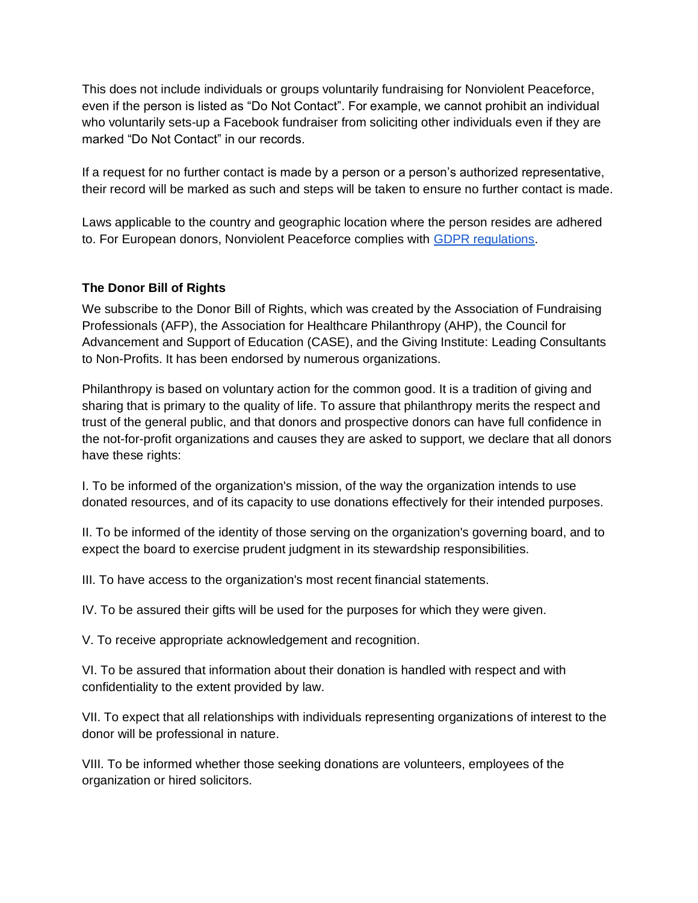This does not include individuals or groups voluntarily fundraising for Nonviolent Peaceforce, even if the person is listed as "Do Not Contact". For example, we cannot prohibit an individual who voluntarily sets-up a Facebook fundraiser from soliciting other individuals even if they are marked "Do Not Contact" in our records.

If a request for no further contact is made by a person or a person's authorized representative, their record will be marked as such and steps will be taken to ensure no further contact is made.

Laws applicable to the country and geographic location where the person resides are adhered to. For European donors, Nonviolent Peaceforce complies with [GDPR regulations.](https://gdpr-info.eu/)

#### **The Donor Bill of Rights**

We subscribe to the Donor Bill of Rights, which was created by the Association of Fundraising Professionals (AFP), the Association for Healthcare Philanthropy (AHP), the Council for Advancement and Support of Education (CASE), and the Giving Institute: Leading Consultants to Non-Profits. It has been endorsed by numerous organizations.

Philanthropy is based on voluntary action for the common good. It is a tradition of giving and sharing that is primary to the quality of life. To assure that philanthropy merits the respect and trust of the general public, and that donors and prospective donors can have full confidence in the not-for-profit organizations and causes they are asked to support, we declare that all donors have these rights:

I. To be informed of the organization's mission, of the way the organization intends to use donated resources, and of its capacity to use donations effectively for their intended purposes.

II. To be informed of the identity of those serving on the organization's governing board, and to expect the board to exercise prudent judgment in its stewardship responsibilities.

III. To have access to the organization's most recent financial statements.

IV. To be assured their gifts will be used for the purposes for which they were given.

V. To receive appropriate acknowledgement and recognition.

VI. To be assured that information about their donation is handled with respect and with confidentiality to the extent provided by law.

VII. To expect that all relationships with individuals representing organizations of interest to the donor will be professional in nature.

VIII. To be informed whether those seeking donations are volunteers, employees of the organization or hired solicitors.